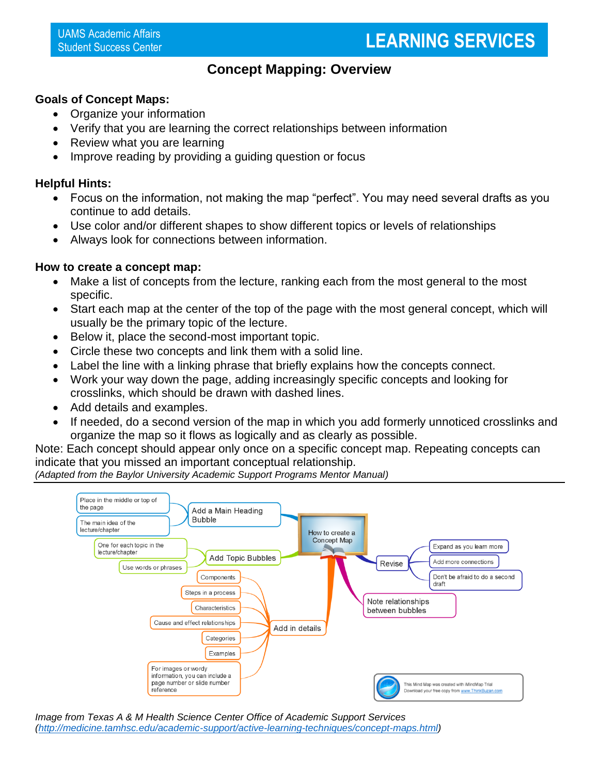### **Concept Mapping: Overview**

#### **Goals of Concept Maps:**

- Organize your information
- Verify that you are learning the correct relationships between information
- Review what you are learning
- Improve reading by providing a quiding question or focus

#### **Helpful Hints:**

- Focus on the information, not making the map "perfect". You may need several drafts as you continue to add details.
- Use color and/or different shapes to show different topics or levels of relationships
- Always look for connections between information.

#### **How to create a concept map:**

- Make a list of concepts from the lecture, ranking each from the most general to the most specific.
- Start each map at the center of the top of the page with the most general concept, which will usually be the primary topic of the lecture.
- Below it, place the second-most important topic.
- Circle these two concepts and link them with a solid line.
- Label the line with a linking phrase that briefly explains how the concepts connect.
- Work your way down the page, adding increasingly specific concepts and looking for crosslinks, which should be drawn with dashed lines.
- Add details and examples.
- If needed, do a second version of the map in which you add formerly unnoticed crosslinks and organize the map so it flows as logically and as clearly as possible.

Note: Each concept should appear only once on a specific concept map. Repeating concepts can indicate that you missed an important conceptual relationship.

*(Adapted from the Baylor University Academic Support Programs Mentor Manual)*

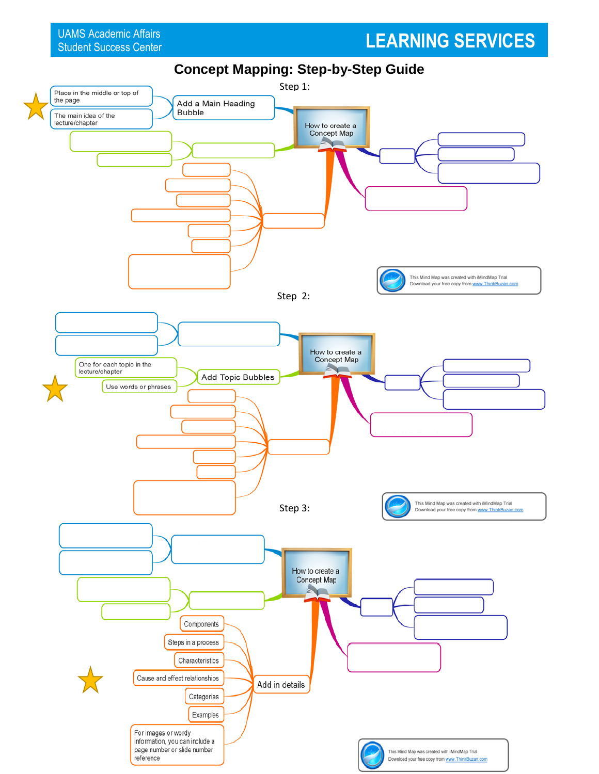## **LEARNING SERVICES**

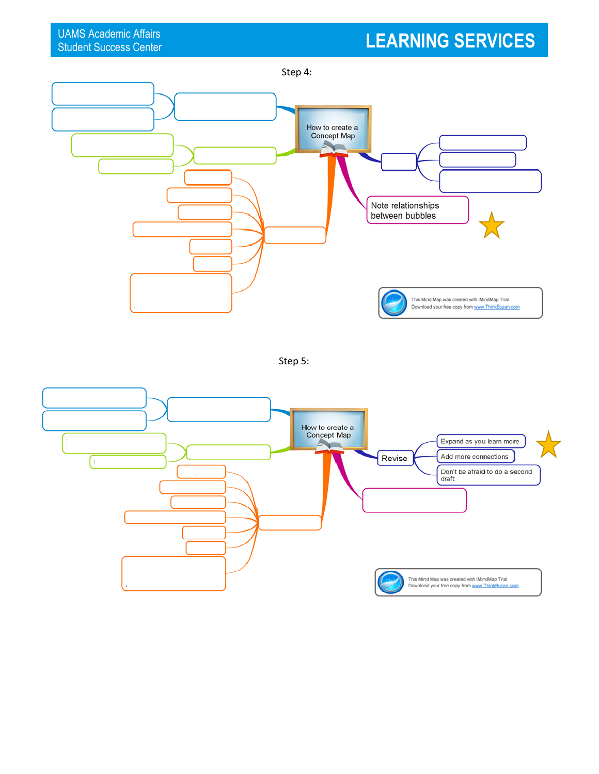# **LEARNING SERVICES**



Step 5: